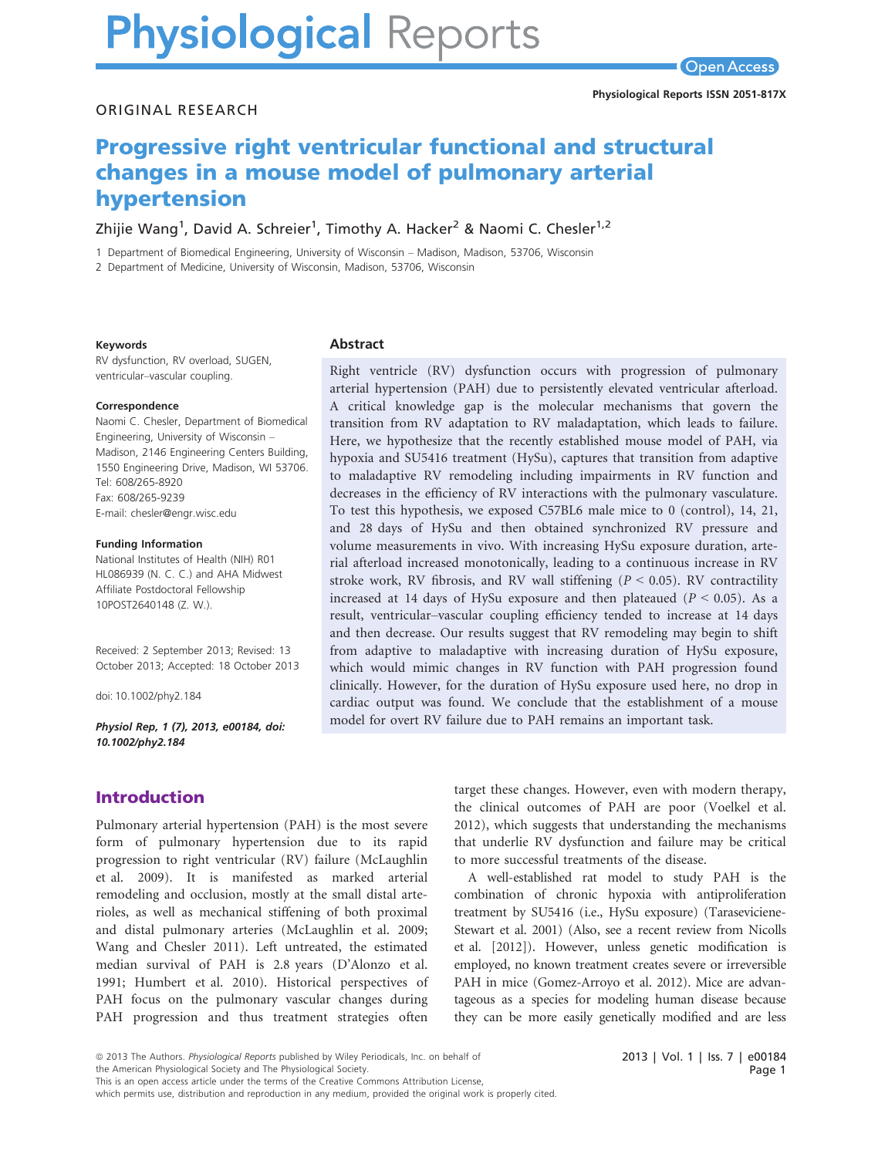# **Physiological Reports**

ORIGINAL RESEARCH

# Progressive right ventricular functional and structural changes in a mouse model of pulmonary arterial hypertension

Zhijie Wang<sup>1</sup>, David A. Schreier<sup>1</sup>, Timothy A. Hacker<sup>2</sup> & Naomi C. Chesler<sup>1,2</sup>

1 Department of Biomedical Engineering, University of Wisconsin – Madison, Madison, 53706, Wisconsin 2 Department of Medicine, University of Wisconsin, Madison, 53706, Wisconsin

#### Keywords

RV dysfunction, RV overload, SUGEN, ventricular–vascular coupling.

#### **Correspondence**

Naomi C. Chesler, Department of Biomedical Engineering, University of Wisconsin – Madison, 2146 Engineering Centers Building, 1550 Engineering Drive, Madison, WI 53706. Tel: 608/265-8920 Fax: 608/265-9239 E-mail: chesler@engr.wisc.edu

#### Funding Information

National Institutes of Health (NIH) R01 HL086939 (N. C. C.) and AHA Midwest Affiliate Postdoctoral Fellowship 10POST2640148 (Z. W.).

Received: 2 September 2013; Revised: 13 October 2013; Accepted: 18 October 2013

doi: 10.1002/phy2.184

Physiol Rep, 1 (7), 2013, e00184, doi: 10.1002/phy2.184

# Introduction

Pulmonary arterial hypertension (PAH) is the most severe form of pulmonary hypertension due to its rapid progression to right ventricular (RV) failure (McLaughlin et al. 2009). It is manifested as marked arterial remodeling and occlusion, mostly at the small distal arterioles, as well as mechanical stiffening of both proximal and distal pulmonary arteries (McLaughlin et al. 2009; Wang and Chesler 2011). Left untreated, the estimated median survival of PAH is 2.8 years (D'Alonzo et al. 1991; Humbert et al. 2010). Historical perspectives of PAH focus on the pulmonary vascular changes during PAH progression and thus treatment strategies often

Abstract

Right ventricle (RV) dysfunction occurs with progression of pulmonary arterial hypertension (PAH) due to persistently elevated ventricular afterload. A critical knowledge gap is the molecular mechanisms that govern the transition from RV adaptation to RV maladaptation, which leads to failure. Here, we hypothesize that the recently established mouse model of PAH, via hypoxia and SU5416 treatment (HySu), captures that transition from adaptive to maladaptive RV remodeling including impairments in RV function and decreases in the efficiency of RV interactions with the pulmonary vasculature. To test this hypothesis, we exposed C57BL6 male mice to 0 (control), 14, 21, and 28 days of HySu and then obtained synchronized RV pressure and volume measurements in vivo. With increasing HySu exposure duration, arterial afterload increased monotonically, leading to a continuous increase in RV stroke work, RV fibrosis, and RV wall stiffening ( $P \le 0.05$ ). RV contractility increased at 14 days of HySu exposure and then plateaued ( $P \le 0.05$ ). As a result, ventricular–vascular coupling efficiency tended to increase at 14 days and then decrease. Our results suggest that RV remodeling may begin to shift from adaptive to maladaptive with increasing duration of HySu exposure, which would mimic changes in RV function with PAH progression found clinically. However, for the duration of HySu exposure used here, no drop in cardiac output was found. We conclude that the establishment of a mouse model for overt RV failure due to PAH remains an important task.

> target these changes. However, even with modern therapy, the clinical outcomes of PAH are poor (Voelkel et al. 2012), which suggests that understanding the mechanisms that underlie RV dysfunction and failure may be critical to more successful treatments of the disease.

> A well-established rat model to study PAH is the combination of chronic hypoxia with antiproliferation treatment by SU5416 (i.e., HySu exposure) (Taraseviciene-Stewart et al. 2001) (Also, see a recent review from Nicolls et al. [2012]). However, unless genetic modification is employed, no known treatment creates severe or irreversible PAH in mice (Gomez-Arroyo et al. 2012). Mice are advantageous as a species for modeling human disease because they can be more easily genetically modified and are less

the American Physiological Society and The Physiological Society.

This is an open access article under the terms of the Creative Commons Attribution License, which permits use, distribution and reproduction in any medium, provided the original work is properly cited.

<sup>ª</sup> 2013 The Authors. Physiological Reports published by Wiley Periodicals, Inc. on behalf of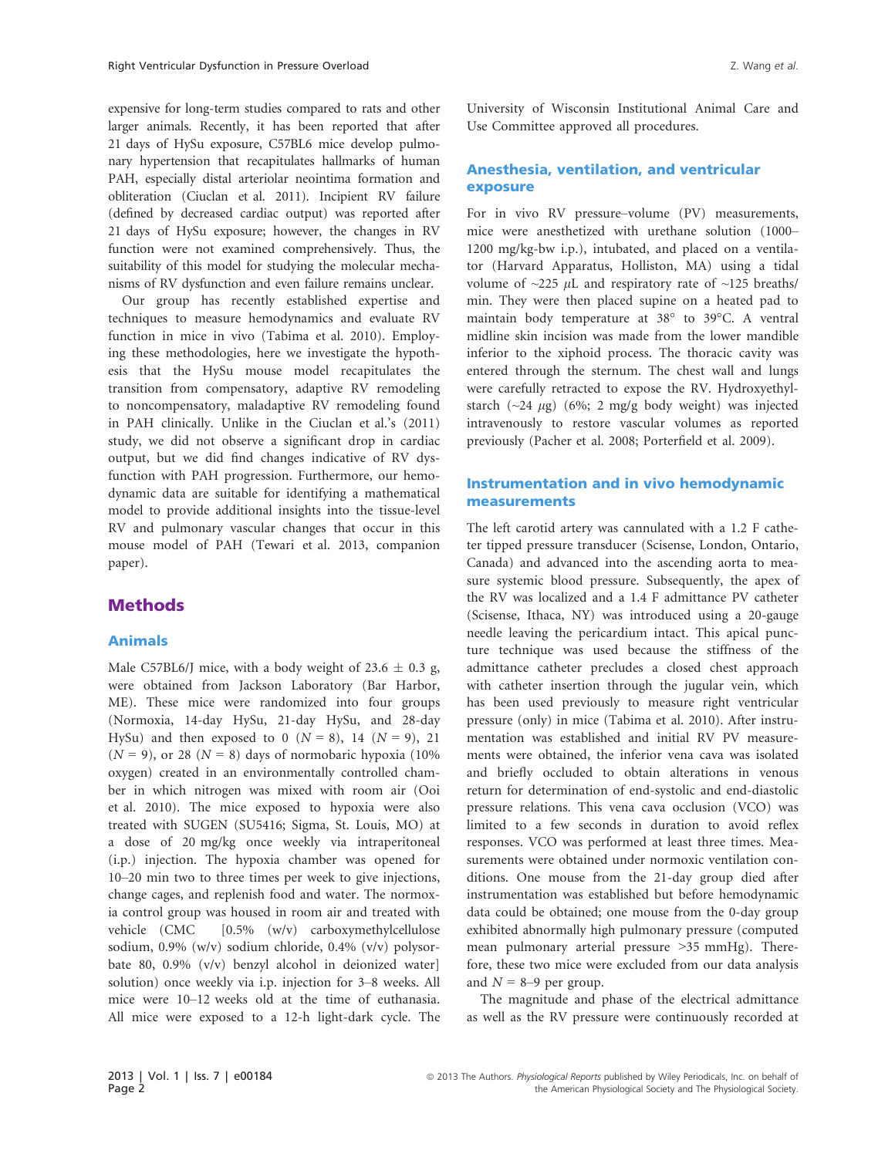expensive for long-term studies compared to rats and other larger animals. Recently, it has been reported that after 21 days of HySu exposure, C57BL6 mice develop pulmonary hypertension that recapitulates hallmarks of human PAH, especially distal arteriolar neointima formation and obliteration (Ciuclan et al. 2011). Incipient RV failure (defined by decreased cardiac output) was reported after 21 days of HySu exposure; however, the changes in RV function were not examined comprehensively. Thus, the suitability of this model for studying the molecular mechanisms of RV dysfunction and even failure remains unclear.

Our group has recently established expertise and techniques to measure hemodynamics and evaluate RV function in mice in vivo (Tabima et al. 2010). Employing these methodologies, here we investigate the hypothesis that the HySu mouse model recapitulates the transition from compensatory, adaptive RV remodeling to noncompensatory, maladaptive RV remodeling found in PAH clinically. Unlike in the Ciuclan et al.'s (2011) study, we did not observe a significant drop in cardiac output, but we did find changes indicative of RV dysfunction with PAH progression. Furthermore, our hemodynamic data are suitable for identifying a mathematical model to provide additional insights into the tissue-level RV and pulmonary vascular changes that occur in this mouse model of PAH (Tewari et al. 2013, companion paper).

#### Methods

#### Animals

Male C57BL6/J mice, with a body weight of 23.6  $\pm$  0.3 g, were obtained from Jackson Laboratory (Bar Harbor, ME). These mice were randomized into four groups (Normoxia, 14-day HySu, 21-day HySu, and 28-day HySu) and then exposed to 0 ( $N = 8$ ), 14 ( $N = 9$ ), 21  $(N = 9)$ , or 28  $(N = 8)$  days of normobaric hypoxia (10%) oxygen) created in an environmentally controlled chamber in which nitrogen was mixed with room air (Ooi et al. 2010). The mice exposed to hypoxia were also treated with SUGEN (SU5416; Sigma, St. Louis, MO) at a dose of 20 mg/kg once weekly via intraperitoneal (i.p.) injection. The hypoxia chamber was opened for 10–20 min two to three times per week to give injections, change cages, and replenish food and water. The normoxia control group was housed in room air and treated with vehicle (CMC [0.5% (w/v) carboxymethylcellulose sodium, 0.9% (w/v) sodium chloride, 0.4% (v/v) polysorbate 80, 0.9% (v/v) benzyl alcohol in deionized water] solution) once weekly via i.p. injection for 3–8 weeks. All mice were 10–12 weeks old at the time of euthanasia. All mice were exposed to a 12-h light-dark cycle. The

University of Wisconsin Institutional Animal Care and Use Committee approved all procedures.

#### Anesthesia, ventilation, and ventricular exposure

For in vivo RV pressure–volume (PV) measurements, mice were anesthetized with urethane solution (1000– 1200 mg/kg-bw i.p.), intubated, and placed on a ventilator (Harvard Apparatus, Holliston, MA) using a tidal volume of  $\sim$ 225 µL and respiratory rate of  $\sim$ 125 breaths/ min. They were then placed supine on a heated pad to maintain body temperature at 38° to 39°C. A ventral midline skin incision was made from the lower mandible inferior to the xiphoid process. The thoracic cavity was entered through the sternum. The chest wall and lungs were carefully retracted to expose the RV. Hydroxyethylstarch  $(\sim 24 \mu g)$  (6%; 2 mg/g body weight) was injected intravenously to restore vascular volumes as reported previously (Pacher et al. 2008; Porterfield et al. 2009).

#### Instrumentation and in vivo hemodynamic measurements

The left carotid artery was cannulated with a 1.2 F catheter tipped pressure transducer (Scisense, London, Ontario, Canada) and advanced into the ascending aorta to measure systemic blood pressure. Subsequently, the apex of the RV was localized and a 1.4 F admittance PV catheter (Scisense, Ithaca, NY) was introduced using a 20-gauge needle leaving the pericardium intact. This apical puncture technique was used because the stiffness of the admittance catheter precludes a closed chest approach with catheter insertion through the jugular vein, which has been used previously to measure right ventricular pressure (only) in mice (Tabima et al. 2010). After instrumentation was established and initial RV PV measurements were obtained, the inferior vena cava was isolated and briefly occluded to obtain alterations in venous return for determination of end-systolic and end-diastolic pressure relations. This vena cava occlusion (VCO) was limited to a few seconds in duration to avoid reflex responses. VCO was performed at least three times. Measurements were obtained under normoxic ventilation conditions. One mouse from the 21-day group died after instrumentation was established but before hemodynamic data could be obtained; one mouse from the 0-day group exhibited abnormally high pulmonary pressure (computed mean pulmonary arterial pressure >35 mmHg). Therefore, these two mice were excluded from our data analysis and  $N = 8-9$  per group.

The magnitude and phase of the electrical admittance as well as the RV pressure were continuously recorded at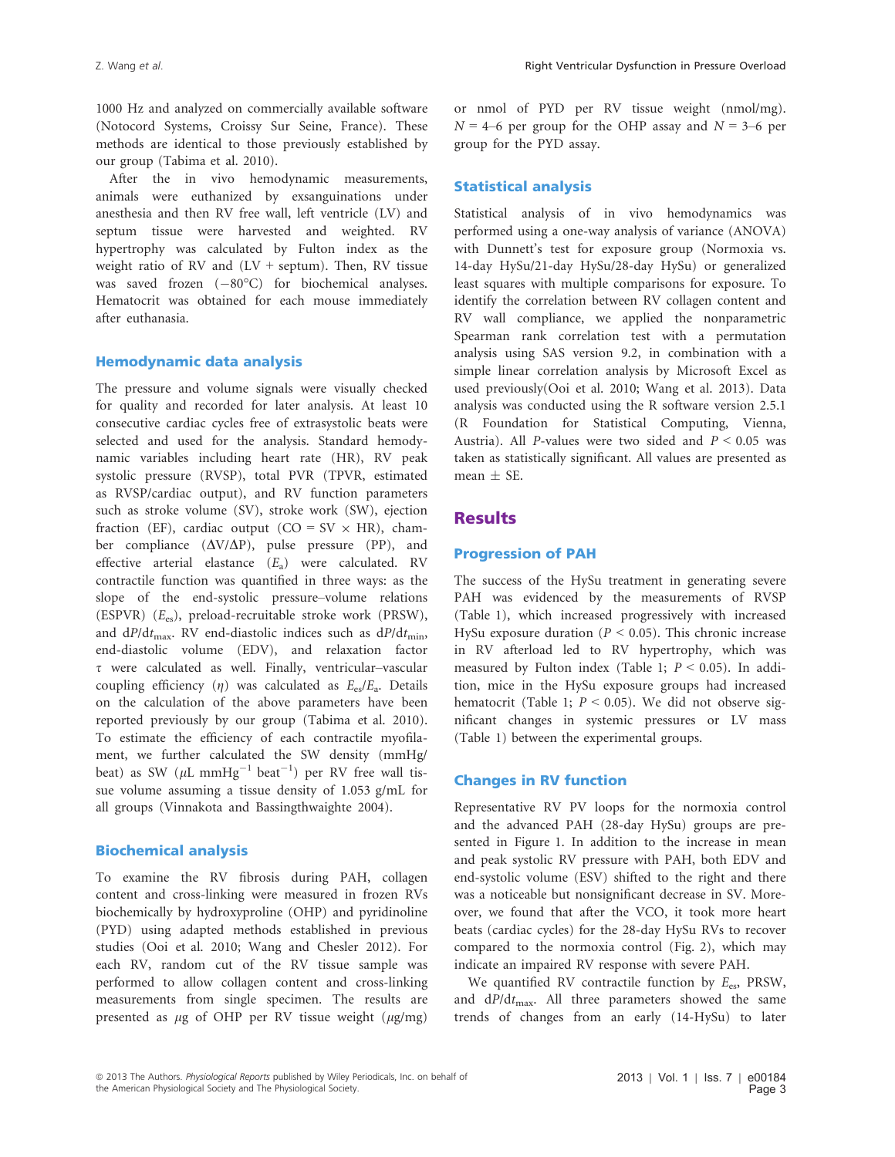1000 Hz and analyzed on commercially available software (Notocord Systems, Croissy Sur Seine, France). These methods are identical to those previously established by our group (Tabima et al. 2010).

After the in vivo hemodynamic measurements, animals were euthanized by exsanguinations under anesthesia and then RV free wall, left ventricle (LV) and septum tissue were harvested and weighted. RV hypertrophy was calculated by Fulton index as the weight ratio of RV and  $(LV + septum)$ . Then, RV tissue was saved frozen  $(-80^{\circ}C)$  for biochemical analyses. Hematocrit was obtained for each mouse immediately after euthanasia.

#### Hemodynamic data analysis

The pressure and volume signals were visually checked for quality and recorded for later analysis. At least 10 consecutive cardiac cycles free of extrasystolic beats were selected and used for the analysis. Standard hemodynamic variables including heart rate (HR), RV peak systolic pressure (RVSP), total PVR (TPVR, estimated as RVSP/cardiac output), and RV function parameters such as stroke volume (SV), stroke work (SW), ejection fraction (EF), cardiac output (CO = SV  $\times$  HR), chamber compliance  $(\Delta V/\Delta P)$ , pulse pressure (PP), and effective arterial elastance  $(E_a)$  were calculated. RV contractile function was quantified in three ways: as the slope of the end-systolic pressure–volume relations (ESPVR)  $(E_{es})$ , preload-recruitable stroke work (PRSW), and  $dP/dt_{\text{max}}$ . RV end-diastolic indices such as  $dP/dt_{\text{min}}$ , end-diastolic volume (EDV), and relaxation factor  $\tau$  were calculated as well. Finally, ventricular-vascular coupling efficiency  $(\eta)$  was calculated as  $E_{es}/E_a$ . Details on the calculation of the above parameters have been reported previously by our group (Tabima et al. 2010). To estimate the efficiency of each contractile myofilament, we further calculated the SW density (mmHg/ beat) as SW ( $\mu$ L mmHg<sup>-1</sup> beat<sup>-1</sup>) per RV free wall tissue volume assuming a tissue density of 1.053 g/mL for all groups (Vinnakota and Bassingthwaighte 2004).

#### Biochemical analysis

To examine the RV fibrosis during PAH, collagen content and cross-linking were measured in frozen RVs biochemically by hydroxyproline (OHP) and pyridinoline (PYD) using adapted methods established in previous studies (Ooi et al. 2010; Wang and Chesler 2012). For each RV, random cut of the RV tissue sample was performed to allow collagen content and cross-linking measurements from single specimen. The results are presented as  $\mu$ g of OHP per RV tissue weight ( $\mu$ g/mg)

or nmol of PYD per RV tissue weight (nmol/mg).  $N = 4$ –6 per group for the OHP assay and  $N = 3$ –6 per group for the PYD assay.

#### Statistical analysis

Statistical analysis of in vivo hemodynamics was performed using a one-way analysis of variance (ANOVA) with Dunnett's test for exposure group (Normoxia vs. 14-day HySu/21-day HySu/28-day HySu) or generalized least squares with multiple comparisons for exposure. To identify the correlation between RV collagen content and RV wall compliance, we applied the nonparametric Spearman rank correlation test with a permutation analysis using SAS version 9.2, in combination with a simple linear correlation analysis by Microsoft Excel as used previously(Ooi et al. 2010; Wang et al. 2013). Data analysis was conducted using the R software version 2.5.1 (R Foundation for Statistical Computing, Vienna, Austria). All P-values were two sided and  $P < 0.05$  was taken as statistically significant. All values are presented as mean  $\pm$  SE.

### **Results**

#### Progression of PAH

The success of the HySu treatment in generating severe PAH was evidenced by the measurements of RVSP (Table 1), which increased progressively with increased HySu exposure duration ( $P < 0.05$ ). This chronic increase in RV afterload led to RV hypertrophy, which was measured by Fulton index (Table 1;  $P < 0.05$ ). In addition, mice in the HySu exposure groups had increased hematocrit (Table 1;  $P < 0.05$ ). We did not observe significant changes in systemic pressures or LV mass (Table 1) between the experimental groups.

#### Changes in RV function

Representative RV PV loops for the normoxia control and the advanced PAH (28-day HySu) groups are presented in Figure 1. In addition to the increase in mean and peak systolic RV pressure with PAH, both EDV and end-systolic volume (ESV) shifted to the right and there was a noticeable but nonsignificant decrease in SV. Moreover, we found that after the VCO, it took more heart beats (cardiac cycles) for the 28-day HySu RVs to recover compared to the normoxia control (Fig. 2), which may indicate an impaired RV response with severe PAH.

We quantified RV contractile function by  $E_{es}$ , PRSW, and  $dP/dt$ <sub>max</sub>. All three parameters showed the same trends of changes from an early (14-HySu) to later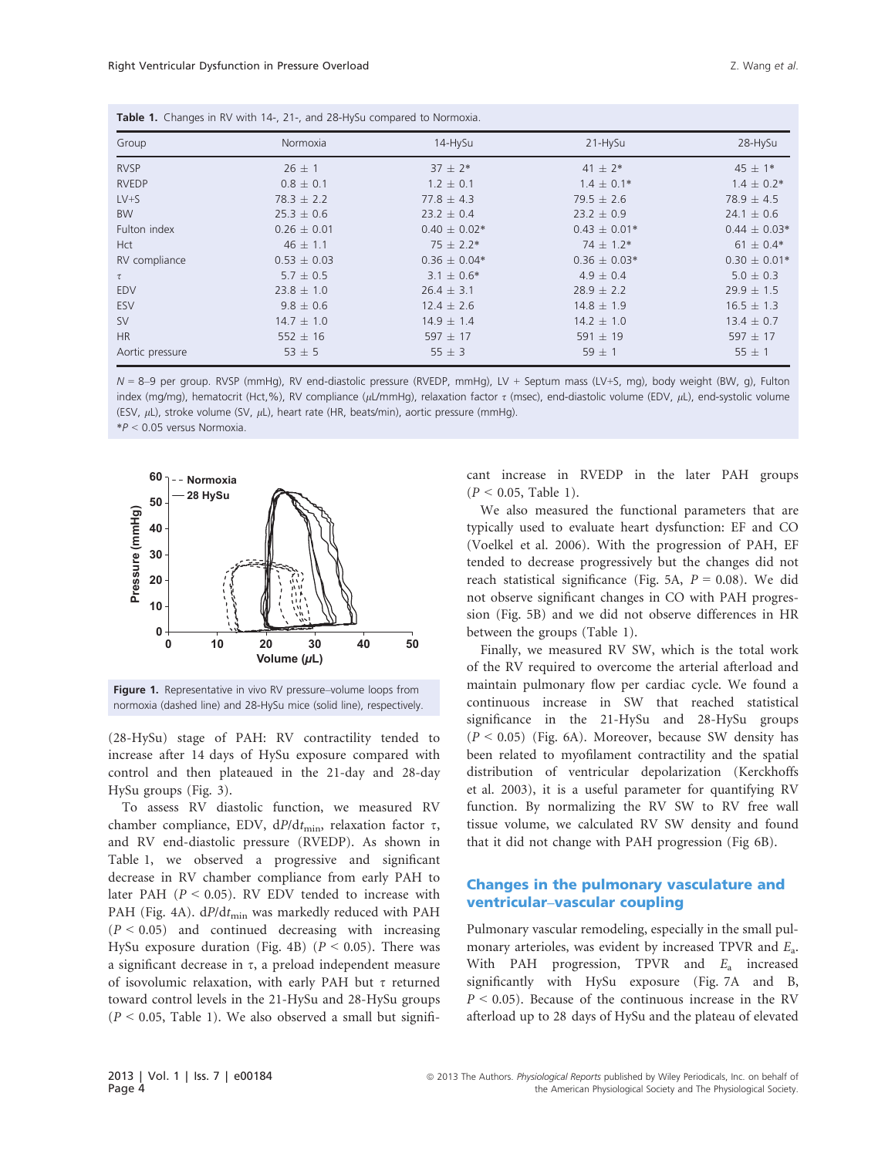| Group           | <b>Normoxia</b> | 14-HySu          | 21-HySu          | 28-HySu          |
|-----------------|-----------------|------------------|------------------|------------------|
| <b>RVSP</b>     | $26 \pm 1$      | $37 + 2*$        | $41 \pm 2*$      | $45 \pm 1*$      |
| <b>RVEDP</b>    | $0.8 \pm 0.1$   | $1.2 \pm 0.1$    | $1.4 \pm 0.1*$   | $1.4 \pm 0.2*$   |
| $LV + S$        | $78.3 \pm 2.2$  | $77.8 \pm 4.3$   | $79.5 \pm 2.6$   | $78.9 \pm 4.5$   |
| <b>BW</b>       | $25.3 \pm 0.6$  | $23.2 \pm 0.4$   | $23.2 \pm 0.9$   | $24.1 \pm 0.6$   |
| Fulton index    | $0.26 \pm 0.01$ | $0.40 \pm 0.02*$ | $0.43 \pm 0.01*$ | $0.44 \pm 0.03*$ |
| <b>Hct</b>      | $46 \pm 1.1$    | $75 \pm 2.2*$    | $74 \pm 1.2*$    | $61 \pm 0.4*$    |
| RV compliance   | $0.53 \pm 0.03$ | $0.36 \pm 0.04*$ | $0.36 \pm 0.03*$ | $0.30 \pm 0.01*$ |
| $\tau$          | $5.7 \pm 0.5$   | $3.1 \pm 0.6^*$  | $4.9 \pm 0.4$    | $5.0 \pm 0.3$    |
| <b>EDV</b>      | $23.8 \pm 1.0$  | $26.4 \pm 3.1$   | $28.9 \pm 2.2$   | $29.9 \pm 1.5$   |
| <b>ESV</b>      | $9.8 \pm 0.6$   | $12.4 \pm 2.6$   | $14.8 \pm 1.9$   | $16.5 \pm 1.3$   |
| <b>SV</b>       | $14.7 \pm 1.0$  | $14.9 \pm 1.4$   | $14.2 \pm 1.0$   | $13.4 \pm 0.7$   |
| <b>HR</b>       | 552 $\pm$ 16    | 597 $\pm$ 17     | 591 $\pm$ 19     | 597 $\pm$ 17     |
| Aortic pressure | $53 \pm 5$      | $55 \pm 3$       | $59 \pm 1$       | $55 \pm 1$       |

|  |  |  |  |  |  |  |  |  |  | <b>Table 1.</b> Changes in RV with 14-, 21-, and 28-HySu compared to Normoxia. |  |  |
|--|--|--|--|--|--|--|--|--|--|--------------------------------------------------------------------------------|--|--|
|--|--|--|--|--|--|--|--|--|--|--------------------------------------------------------------------------------|--|--|

N <sup>=</sup> <sup>8</sup>–9 per group. RVSP (mmHg), RV end-diastolic pressure (RVEDP, mmHg), LV <sup>+</sup> Septum mass (LV+S, mg), body weight (BW, g), Fulton index (mg/mg), hematocrit (Hct,%), RV compliance ( $\mu$ L/mmHg), relaxation factor  $\tau$  (msec), end-diastolic volume (EDV,  $\mu$ L), end-systolic volume (ESV,  $\mu$ L), stroke volume (SV,  $\mu$ L), heart rate (HR, beats/min), aortic pressure (mmHg).  $*P < 0.05$  versus Normoxia.





(28-HySu) stage of PAH: RV contractility tended to increase after 14 days of HySu exposure compared with control and then plateaued in the 21-day and 28-day HySu groups (Fig. 3).

To assess RV diastolic function, we measured RV chamber compliance, EDV,  $dP/dt_{min}$ , relaxation factor  $\tau$ , and RV end-diastolic pressure (RVEDP). As shown in Table 1, we observed a progressive and significant decrease in RV chamber compliance from early PAH to later PAH  $(P < 0.05)$ . RV EDV tended to increase with PAH (Fig. 4A).  $dP/dt_{min}$  was markedly reduced with PAH  $(P < 0.05)$  and continued decreasing with increasing HySu exposure duration (Fig. 4B) ( $P < 0.05$ ). There was a significant decrease in  $\tau$ , a preload independent measure of isovolumic relaxation, with early PAH but  $\tau$  returned toward control levels in the 21-HySu and 28-HySu groups  $(P < 0.05$ , Table 1). We also observed a small but significant increase in RVEDP in the later PAH groups  $(P < 0.05,$  Table 1).

We also measured the functional parameters that are typically used to evaluate heart dysfunction: EF and CO (Voelkel et al. 2006). With the progression of PAH, EF tended to decrease progressively but the changes did not reach statistical significance (Fig. 5A,  $P = 0.08$ ). We did not observe significant changes in CO with PAH progression (Fig. 5B) and we did not observe differences in HR between the groups (Table 1).

Finally, we measured RV SW, which is the total work of the RV required to overcome the arterial afterload and maintain pulmonary flow per cardiac cycle. We found a continuous increase in SW that reached statistical significance in the 21-HySu and 28-HySu groups  $(P < 0.05)$  (Fig. 6A). Moreover, because SW density has been related to myofilament contractility and the spatial distribution of ventricular depolarization (Kerckhoffs et al. 2003), it is a useful parameter for quantifying RV function. By normalizing the RV SW to RV free wall tissue volume, we calculated RV SW density and found that it did not change with PAH progression (Fig 6B).

#### Changes in the pulmonary vasculature and ventricular–vascular coupling

Pulmonary vascular remodeling, especially in the small pulmonary arterioles, was evident by increased TPVR and  $E_a$ . With PAH progression, TPVR and E<sub>a</sub> increased significantly with HySu exposure (Fig. 7A and B,  $P < 0.05$ ). Because of the continuous increase in the RV afterload up to 28 days of HySu and the plateau of elevated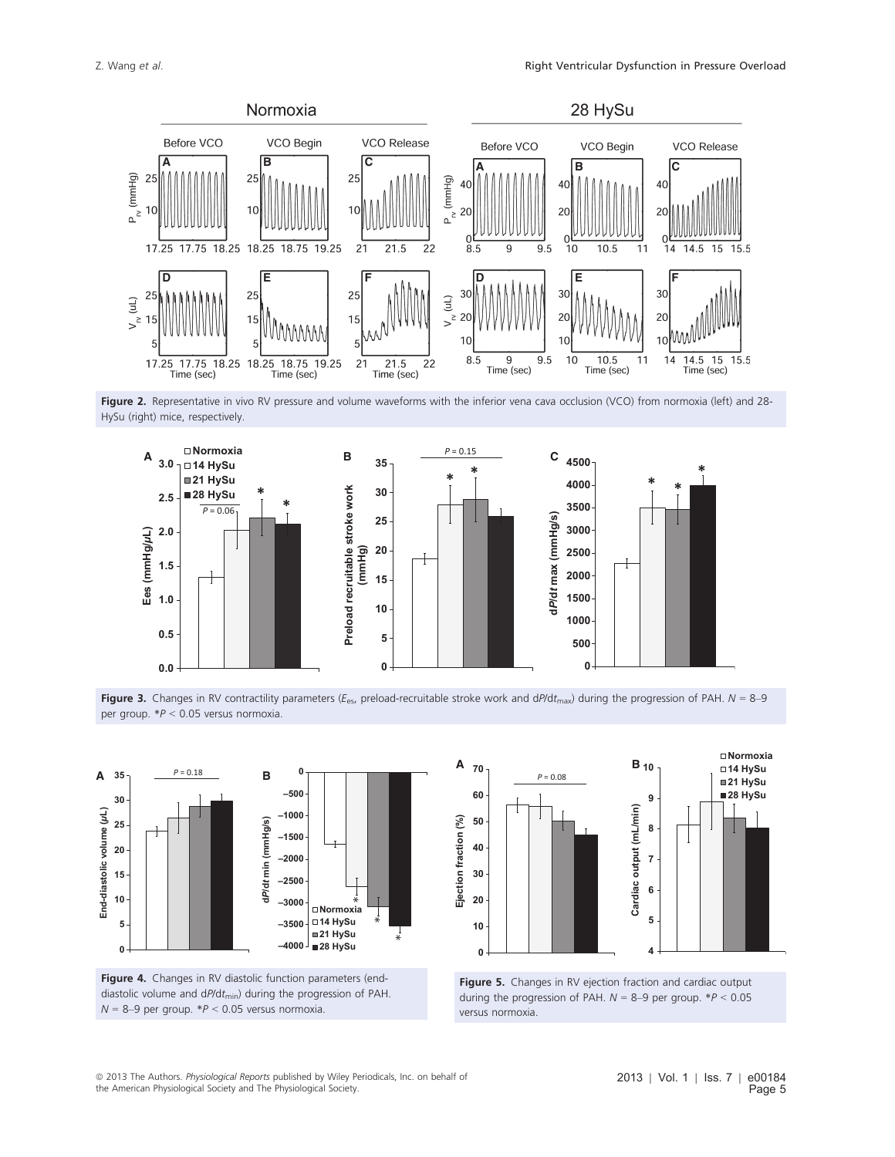

Figure 2. Representative in vivo RV pressure and volume waveforms with the inferior vena cava occlusion (VCO) from normoxia (left) and 28-HySu (right) mice, respectively.



Figure 3. Changes in RV contractility parameters ( $E_{\text{es}}$ , preload-recruitable stroke work and dP/dt<sub>max</sub>) during the progression of PAH. N = 8-9 per group. \*P <sup>&</sup>lt; 0.05 versus normoxia.



Figure 4. Changes in RV diastolic function parameters (enddiastolic volume and  $dP/dt_{min}$ ) during the progression of PAH.  $N = 8-9$  per group.  $*P < 0.05$  versus normoxia.



Figure 5. Changes in RV ejection fraction and cardiac output during the progression of PAH.  $N = 8-9$  per group.  $*P < 0.05$ versus normoxia.

<sup>ª</sup> 2013 The Authors. Physiological Reports published by Wiley Periodicals, Inc. on behalf of the American Physiological Society and The Physiological Society.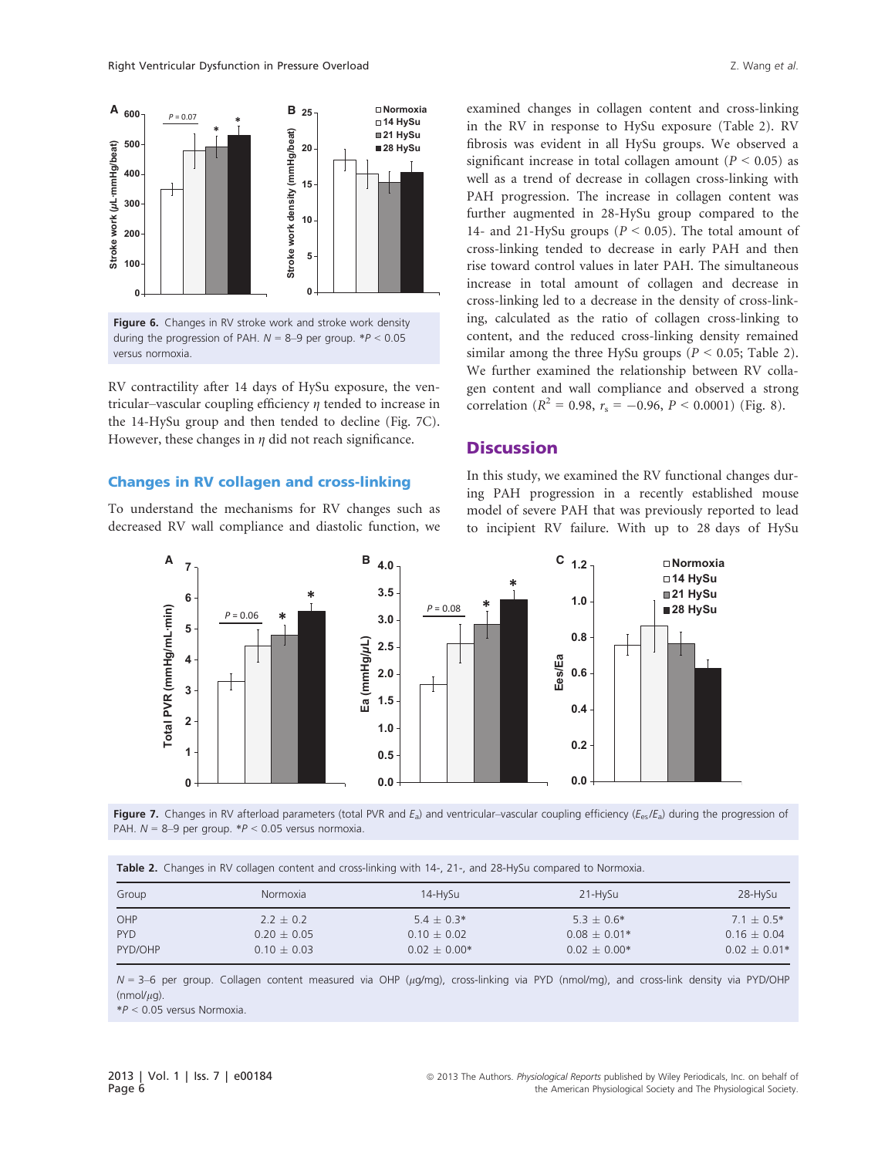

Figure 6. Changes in RV stroke work and stroke work density during the progression of PAH.  $N = 8-9$  per group.  $*P < 0.05$ versus normoxia.

RV contractility after 14 days of HySu exposure, the ventricular–vascular coupling efficiency  $\eta$  tended to increase in the 14-HySu group and then tended to decline (Fig. 7C). However, these changes in  $\eta$  did not reach significance.

#### Changes in RV collagen and cross-linking

To understand the mechanisms for RV changes such as decreased RV wall compliance and diastolic function, we examined changes in collagen content and cross-linking in the RV in response to HySu exposure (Table 2). RV fibrosis was evident in all HySu groups. We observed a significant increase in total collagen amount ( $P < 0.05$ ) as well as a trend of decrease in collagen cross-linking with PAH progression. The increase in collagen content was further augmented in 28-HySu group compared to the 14- and 21-HySu groups ( $P < 0.05$ ). The total amount of cross-linking tended to decrease in early PAH and then rise toward control values in later PAH. The simultaneous increase in total amount of collagen and decrease in cross-linking led to a decrease in the density of cross-linking, calculated as the ratio of collagen cross-linking to content, and the reduced cross-linking density remained similar among the three HySu groups ( $P < 0.05$ ; Table 2). We further examined the relationship between RV collagen content and wall compliance and observed a strong correlation ( $R^2 = 0.98$ ,  $r_s = -0.96$ ,  $P < 0.0001$ ) (Fig. 8).

#### **Discussion**

In this study, we examined the RV functional changes during PAH progression in a recently established mouse model of severe PAH that was previously reported to lead to incipient RV failure. With up to 28 days of HySu





| Table 2. Changes in RV collagen content and cross-linking with 14-, 21-, and 28-HySu compared to Normoxia. |
|------------------------------------------------------------------------------------------------------------|
|------------------------------------------------------------------------------------------------------------|

| Group      | <b>Normoxia</b> | 14-HySu        | 21-HySu        | 28-HySu        |
|------------|-----------------|----------------|----------------|----------------|
| OHP        | $2.2 \pm 0.2$   | $5.4 + 0.3*$   | $5.3 + 0.6*$   | $7.1 + 0.5*$   |
| <b>PYD</b> | $0.20 \pm 0.05$ | $0.10 + 0.02$  | $0.08 + 0.01*$ | $0.16 + 0.04$  |
| PYD/OHP    | $0.10 + 0.03$   | $0.02 + 0.00*$ | $0.02 + 0.00*$ | $0.02 + 0.01*$ |

 $N = 3-6$  per group. Collagen content measured via OHP ( $\mu$ g/mg), cross-linking via PYD (nmol/mg), and cross-link density via PYD/OHP  $(mmol/\mu g)$ .

 $*P < 0.05$  versus Normoxia.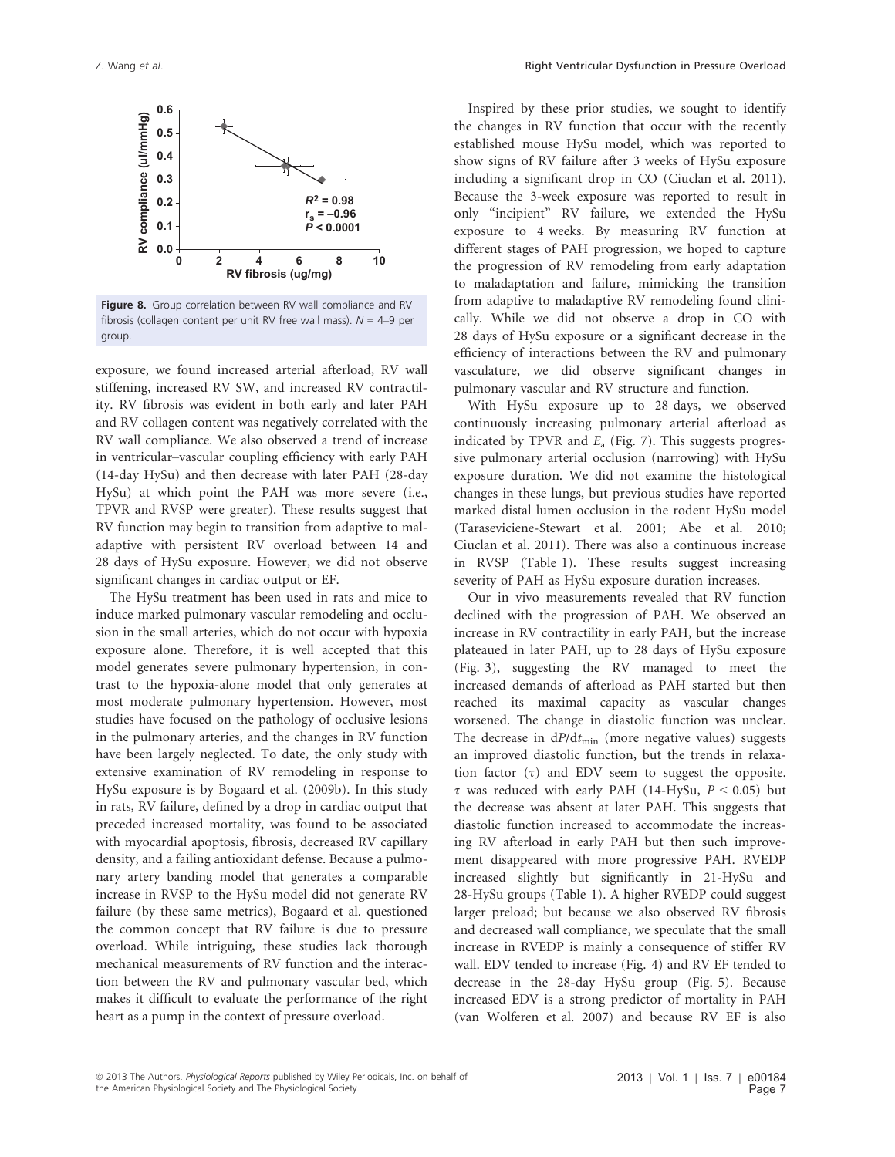

Figure 8. Group correlation between RV wall compliance and RV fibrosis (collagen content per unit RV free wall mass).  $N = 4-9$  per group.

exposure, we found increased arterial afterload, RV wall stiffening, increased RV SW, and increased RV contractility. RV fibrosis was evident in both early and later PAH and RV collagen content was negatively correlated with the RV wall compliance. We also observed a trend of increase in ventricular–vascular coupling efficiency with early PAH (14-day HySu) and then decrease with later PAH (28-day HySu) at which point the PAH was more severe (i.e., TPVR and RVSP were greater). These results suggest that RV function may begin to transition from adaptive to maladaptive with persistent RV overload between 14 and 28 days of HySu exposure. However, we did not observe significant changes in cardiac output or EF.

The HySu treatment has been used in rats and mice to induce marked pulmonary vascular remodeling and occlusion in the small arteries, which do not occur with hypoxia exposure alone. Therefore, it is well accepted that this model generates severe pulmonary hypertension, in contrast to the hypoxia-alone model that only generates at most moderate pulmonary hypertension. However, most studies have focused on the pathology of occlusive lesions in the pulmonary arteries, and the changes in RV function have been largely neglected. To date, the only study with extensive examination of RV remodeling in response to HySu exposure is by Bogaard et al. (2009b). In this study in rats, RV failure, defined by a drop in cardiac output that preceded increased mortality, was found to be associated with myocardial apoptosis, fibrosis, decreased RV capillary density, and a failing antioxidant defense. Because a pulmonary artery banding model that generates a comparable increase in RVSP to the HySu model did not generate RV failure (by these same metrics), Bogaard et al. questioned the common concept that RV failure is due to pressure overload. While intriguing, these studies lack thorough mechanical measurements of RV function and the interaction between the RV and pulmonary vascular bed, which makes it difficult to evaluate the performance of the right heart as a pump in the context of pressure overload.

Inspired by these prior studies, we sought to identify the changes in RV function that occur with the recently established mouse HySu model, which was reported to show signs of RV failure after 3 weeks of HySu exposure including a significant drop in CO (Ciuclan et al. 2011). Because the 3-week exposure was reported to result in only "incipient" RV failure, we extended the HySu exposure to 4 weeks. By measuring RV function at different stages of PAH progression, we hoped to capture the progression of RV remodeling from early adaptation to maladaptation and failure, mimicking the transition from adaptive to maladaptive RV remodeling found clinically. While we did not observe a drop in CO with 28 days of HySu exposure or a significant decrease in the efficiency of interactions between the RV and pulmonary vasculature, we did observe significant changes in pulmonary vascular and RV structure and function.

With HySu exposure up to 28 days, we observed continuously increasing pulmonary arterial afterload as indicated by TPVR and  $E_a$  (Fig. 7). This suggests progressive pulmonary arterial occlusion (narrowing) with HySu exposure duration. We did not examine the histological changes in these lungs, but previous studies have reported marked distal lumen occlusion in the rodent HySu model (Taraseviciene-Stewart et al. 2001; Abe et al. 2010; Ciuclan et al. 2011). There was also a continuous increase in RVSP (Table 1). These results suggest increasing severity of PAH as HySu exposure duration increases.

Our in vivo measurements revealed that RV function declined with the progression of PAH. We observed an increase in RV contractility in early PAH, but the increase plateaued in later PAH, up to 28 days of HySu exposure (Fig. 3), suggesting the RV managed to meet the increased demands of afterload as PAH started but then reached its maximal capacity as vascular changes worsened. The change in diastolic function was unclear. The decrease in  $dP/dt_{min}$  (more negative values) suggests an improved diastolic function, but the trends in relaxation factor  $(\tau)$  and EDV seem to suggest the opposite.  $\tau$  was reduced with early PAH (14-HySu,  $P < 0.05$ ) but the decrease was absent at later PAH. This suggests that diastolic function increased to accommodate the increasing RV afterload in early PAH but then such improvement disappeared with more progressive PAH. RVEDP increased slightly but significantly in 21-HySu and 28-HySu groups (Table 1). A higher RVEDP could suggest larger preload; but because we also observed RV fibrosis and decreased wall compliance, we speculate that the small increase in RVEDP is mainly a consequence of stiffer RV wall. EDV tended to increase (Fig. 4) and RV EF tended to decrease in the 28-day HySu group (Fig. 5). Because increased EDV is a strong predictor of mortality in PAH (van Wolferen et al. 2007) and because RV EF is also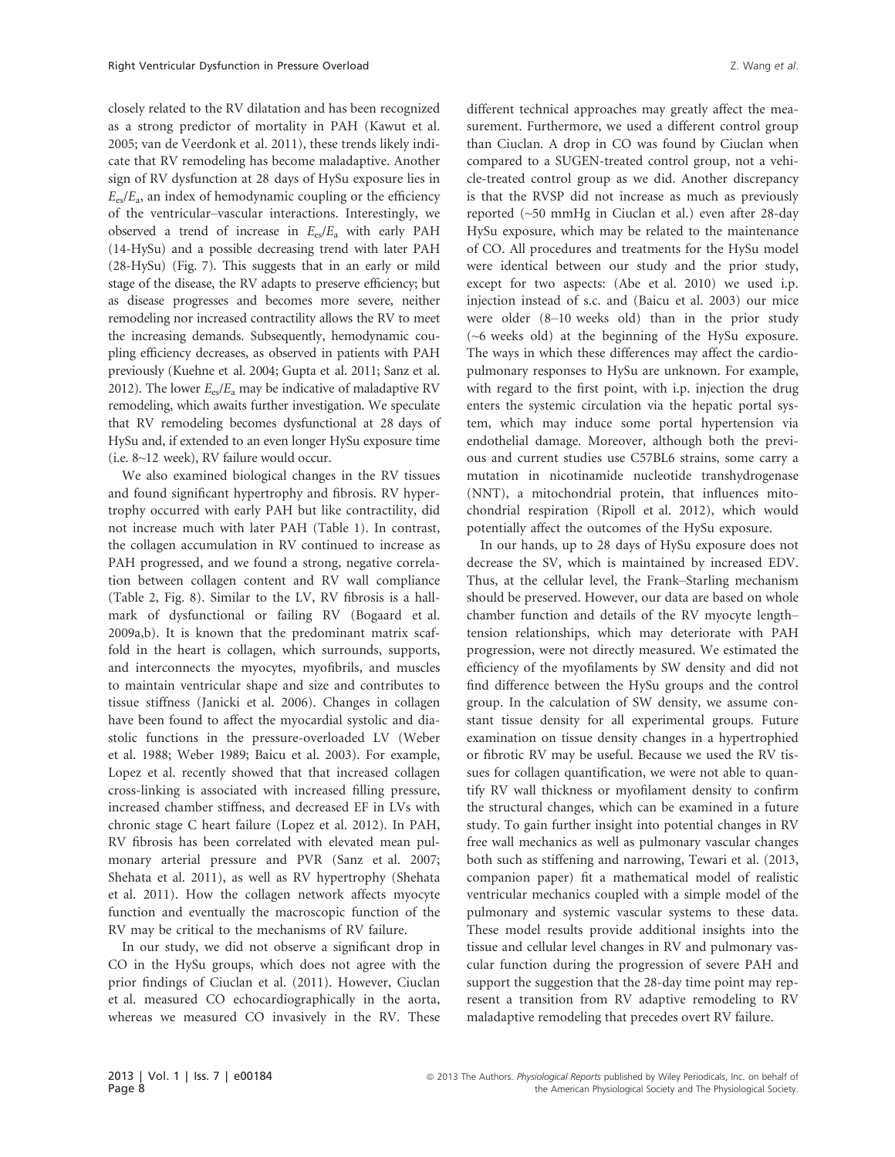closely related to the RV dilatation and has been recognized as a strong predictor of mortality in PAH (Kawut et al. 2005; van de Veerdonk et al. 2011), these trends likely indicate that RV remodeling has become maladaptive. Another sign of RV dysfunction at 28 days of HySu exposure lies in  $E_{\rm es}/E_{\rm a}$ , an index of hemodynamic coupling or the efficiency of the ventricular–vascular interactions. Interestingly, we observed a trend of increase in  $E_{es}/E_a$  with early PAH (14-HySu) and a possible decreasing trend with later PAH (28-HySu) (Fig. 7). This suggests that in an early or mild stage of the disease, the RV adapts to preserve efficiency; but as disease progresses and becomes more severe, neither remodeling nor increased contractility allows the RV to meet the increasing demands. Subsequently, hemodynamic coupling efficiency decreases, as observed in patients with PAH previously (Kuehne et al. 2004; Gupta et al. 2011; Sanz et al. 2012). The lower  $E_{es}/E_a$  may be indicative of maladaptive RV remodeling, which awaits further investigation. We speculate that RV remodeling becomes dysfunctional at 28 days of HySu and, if extended to an even longer HySu exposure time (i.e. 8~12 week), RV failure would occur.

We also examined biological changes in the RV tissues and found significant hypertrophy and fibrosis. RV hypertrophy occurred with early PAH but like contractility, did not increase much with later PAH (Table 1). In contrast, the collagen accumulation in RV continued to increase as PAH progressed, and we found a strong, negative correlation between collagen content and RV wall compliance (Table 2, Fig. 8). Similar to the LV, RV fibrosis is a hallmark of dysfunctional or failing RV (Bogaard et al. 2009a,b). It is known that the predominant matrix scaffold in the heart is collagen, which surrounds, supports, and interconnects the myocytes, myofibrils, and muscles to maintain ventricular shape and size and contributes to tissue stiffness (Janicki et al. 2006). Changes in collagen have been found to affect the myocardial systolic and diastolic functions in the pressure-overloaded LV (Weber et al. 1988; Weber 1989; Baicu et al. 2003). For example, Lopez et al. recently showed that that increased collagen cross-linking is associated with increased filling pressure, increased chamber stiffness, and decreased EF in LVs with chronic stage C heart failure (Lopez et al. 2012). In PAH, RV fibrosis has been correlated with elevated mean pulmonary arterial pressure and PVR (Sanz et al. 2007; Shehata et al. 2011), as well as RV hypertrophy (Shehata et al. 2011). How the collagen network affects myocyte function and eventually the macroscopic function of the RV may be critical to the mechanisms of RV failure.

In our study, we did not observe a significant drop in CO in the HySu groups, which does not agree with the prior findings of Ciuclan et al. (2011). However, Ciuclan et al. measured CO echocardiographically in the aorta, whereas we measured CO invasively in the RV. These different technical approaches may greatly affect the measurement. Furthermore, we used a different control group than Ciuclan. A drop in CO was found by Ciuclan when compared to a SUGEN-treated control group, not a vehicle-treated control group as we did. Another discrepancy is that the RVSP did not increase as much as previously reported (~50 mmHg in Ciuclan et al.) even after 28-day HySu exposure, which may be related to the maintenance of CO. All procedures and treatments for the HySu model were identical between our study and the prior study, except for two aspects: (Abe et al. 2010) we used i.p. injection instead of s.c. and (Baicu et al. 2003) our mice were older (8–10 weeks old) than in the prior study (~6 weeks old) at the beginning of the HySu exposure. The ways in which these differences may affect the cardiopulmonary responses to HySu are unknown. For example, with regard to the first point, with i.p. injection the drug enters the systemic circulation via the hepatic portal system, which may induce some portal hypertension via endothelial damage. Moreover, although both the previous and current studies use C57BL6 strains, some carry a mutation in nicotinamide nucleotide transhydrogenase (NNT), a mitochondrial protein, that influences mitochondrial respiration (Ripoll et al. 2012), which would potentially affect the outcomes of the HySu exposure.

In our hands, up to 28 days of HySu exposure does not decrease the SV, which is maintained by increased EDV. Thus, at the cellular level, the Frank–Starling mechanism should be preserved. However, our data are based on whole chamber function and details of the RV myocyte length– tension relationships, which may deteriorate with PAH progression, were not directly measured. We estimated the efficiency of the myofilaments by SW density and did not find difference between the HySu groups and the control group. In the calculation of SW density, we assume constant tissue density for all experimental groups. Future examination on tissue density changes in a hypertrophied or fibrotic RV may be useful. Because we used the RV tissues for collagen quantification, we were not able to quantify RV wall thickness or myofilament density to confirm the structural changes, which can be examined in a future study. To gain further insight into potential changes in RV free wall mechanics as well as pulmonary vascular changes both such as stiffening and narrowing, Tewari et al. (2013, companion paper) fit a mathematical model of realistic ventricular mechanics coupled with a simple model of the pulmonary and systemic vascular systems to these data. These model results provide additional insights into the tissue and cellular level changes in RV and pulmonary vascular function during the progression of severe PAH and support the suggestion that the 28-day time point may represent a transition from RV adaptive remodeling to RV maladaptive remodeling that precedes overt RV failure.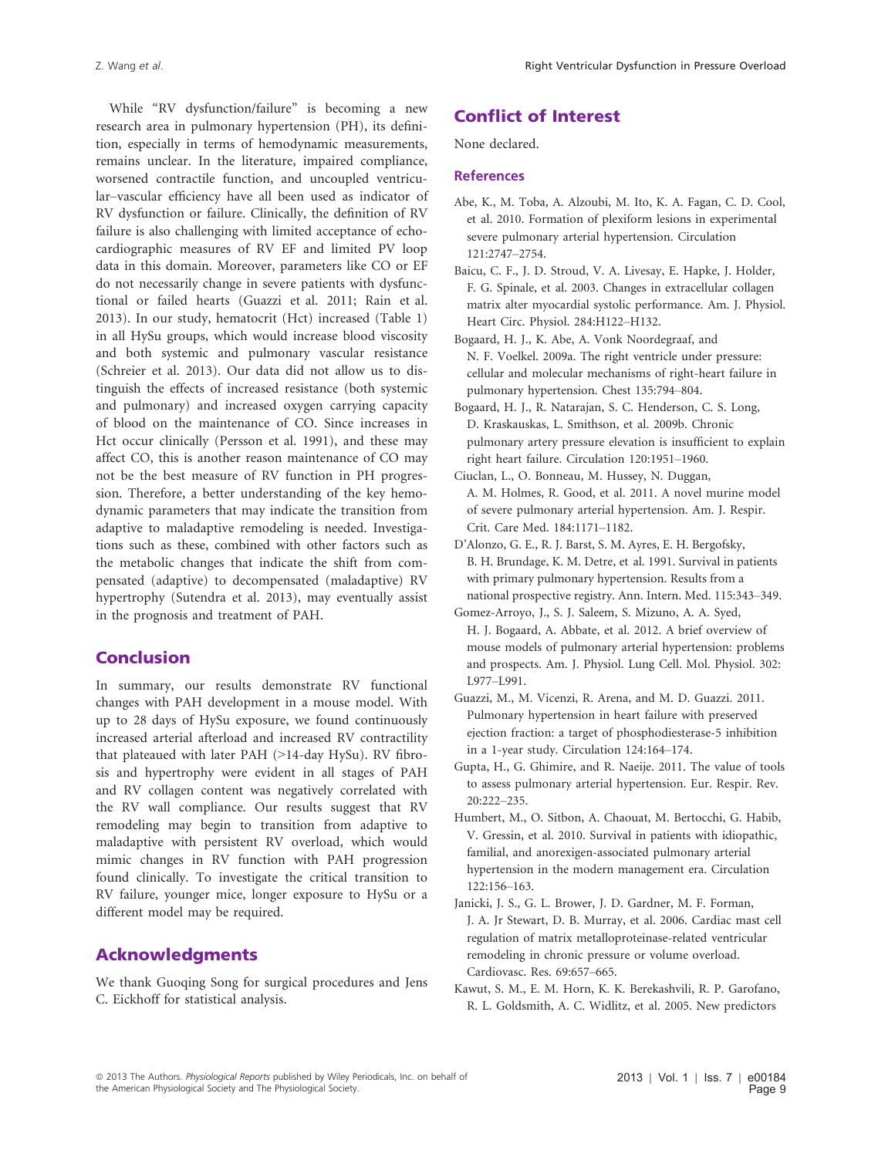While "RV dysfunction/failure" is becoming a new research area in pulmonary hypertension (PH), its definition, especially in terms of hemodynamic measurements, remains unclear. In the literature, impaired compliance, worsened contractile function, and uncoupled ventricular–vascular efficiency have all been used as indicator of RV dysfunction or failure. Clinically, the definition of RV failure is also challenging with limited acceptance of echocardiographic measures of RV EF and limited PV loop data in this domain. Moreover, parameters like CO or EF do not necessarily change in severe patients with dysfunctional or failed hearts (Guazzi et al. 2011; Rain et al. 2013). In our study, hematocrit (Hct) increased (Table 1) in all HySu groups, which would increase blood viscosity and both systemic and pulmonary vascular resistance (Schreier et al. 2013). Our data did not allow us to distinguish the effects of increased resistance (both systemic and pulmonary) and increased oxygen carrying capacity of blood on the maintenance of CO. Since increases in Hct occur clinically (Persson et al. 1991), and these may affect CO, this is another reason maintenance of CO may not be the best measure of RV function in PH progression. Therefore, a better understanding of the key hemodynamic parameters that may indicate the transition from adaptive to maladaptive remodeling is needed. Investigations such as these, combined with other factors such as the metabolic changes that indicate the shift from compensated (adaptive) to decompensated (maladaptive) RV hypertrophy (Sutendra et al. 2013), may eventually assist in the prognosis and treatment of PAH.

# Conclusion

In summary, our results demonstrate RV functional changes with PAH development in a mouse model. With up to 28 days of HySu exposure, we found continuously increased arterial afterload and increased RV contractility that plateaued with later PAH (>14-day HySu). RV fibrosis and hypertrophy were evident in all stages of PAH and RV collagen content was negatively correlated with the RV wall compliance. Our results suggest that RV remodeling may begin to transition from adaptive to maladaptive with persistent RV overload, which would mimic changes in RV function with PAH progression found clinically. To investigate the critical transition to RV failure, younger mice, longer exposure to HySu or a different model may be required.

# Acknowledgments

We thank Guoqing Song for surgical procedures and Jens C. Eickhoff for statistical analysis.

# Conflict of Interest

None declared.

#### **References**

- Abe, K., M. Toba, A. Alzoubi, M. Ito, K. A. Fagan, C. D. Cool, et al. 2010. Formation of plexiform lesions in experimental severe pulmonary arterial hypertension. Circulation 121:2747–2754.
- Baicu, C. F., J. D. Stroud, V. A. Livesay, E. Hapke, J. Holder, F. G. Spinale, et al. 2003. Changes in extracellular collagen matrix alter myocardial systolic performance. Am. J. Physiol. Heart Circ. Physiol. 284:H122–H132.

Bogaard, H. J., K. Abe, A. Vonk Noordegraaf, and N. F. Voelkel. 2009a. The right ventricle under pressure: cellular and molecular mechanisms of right-heart failure in pulmonary hypertension. Chest 135:794–804.

Bogaard, H. J., R. Natarajan, S. C. Henderson, C. S. Long, D. Kraskauskas, L. Smithson, et al. 2009b. Chronic pulmonary artery pressure elevation is insufficient to explain right heart failure. Circulation 120:1951–1960.

Ciuclan, L., O. Bonneau, M. Hussey, N. Duggan, A. M. Holmes, R. Good, et al. 2011. A novel murine model of severe pulmonary arterial hypertension. Am. J. Respir. Crit. Care Med. 184:1171–1182.

- D'Alonzo, G. E., R. J. Barst, S. M. Ayres, E. H. Bergofsky, B. H. Brundage, K. M. Detre, et al. 1991. Survival in patients with primary pulmonary hypertension. Results from a national prospective registry. Ann. Intern. Med. 115:343–349.
- Gomez-Arroyo, J., S. J. Saleem, S. Mizuno, A. A. Syed, H. J. Bogaard, A. Abbate, et al. 2012. A brief overview of mouse models of pulmonary arterial hypertension: problems and prospects. Am. J. Physiol. Lung Cell. Mol. Physiol. 302: L977–L991.
- Guazzi, M., M. Vicenzi, R. Arena, and M. D. Guazzi. 2011. Pulmonary hypertension in heart failure with preserved ejection fraction: a target of phosphodiesterase-5 inhibition in a 1-year study. Circulation 124:164–174.
- Gupta, H., G. Ghimire, and R. Naeije. 2011. The value of tools to assess pulmonary arterial hypertension. Eur. Respir. Rev. 20:222–235.
- Humbert, M., O. Sitbon, A. Chaouat, M. Bertocchi, G. Habib, V. Gressin, et al. 2010. Survival in patients with idiopathic, familial, and anorexigen-associated pulmonary arterial hypertension in the modern management era. Circulation 122:156–163.
- Janicki, J. S., G. L. Brower, J. D. Gardner, M. F. Forman, J. A. Jr Stewart, D. B. Murray, et al. 2006. Cardiac mast cell regulation of matrix metalloproteinase-related ventricular remodeling in chronic pressure or volume overload. Cardiovasc. Res. 69:657–665.
- Kawut, S. M., E. M. Horn, K. K. Berekashvili, R. P. Garofano, R. L. Goldsmith, A. C. Widlitz, et al. 2005. New predictors

<sup>ª</sup> 2013 The Authors. Physiological Reports published by Wiley Periodicals, Inc. on behalf of the American Physiological Society and The Physiological Society.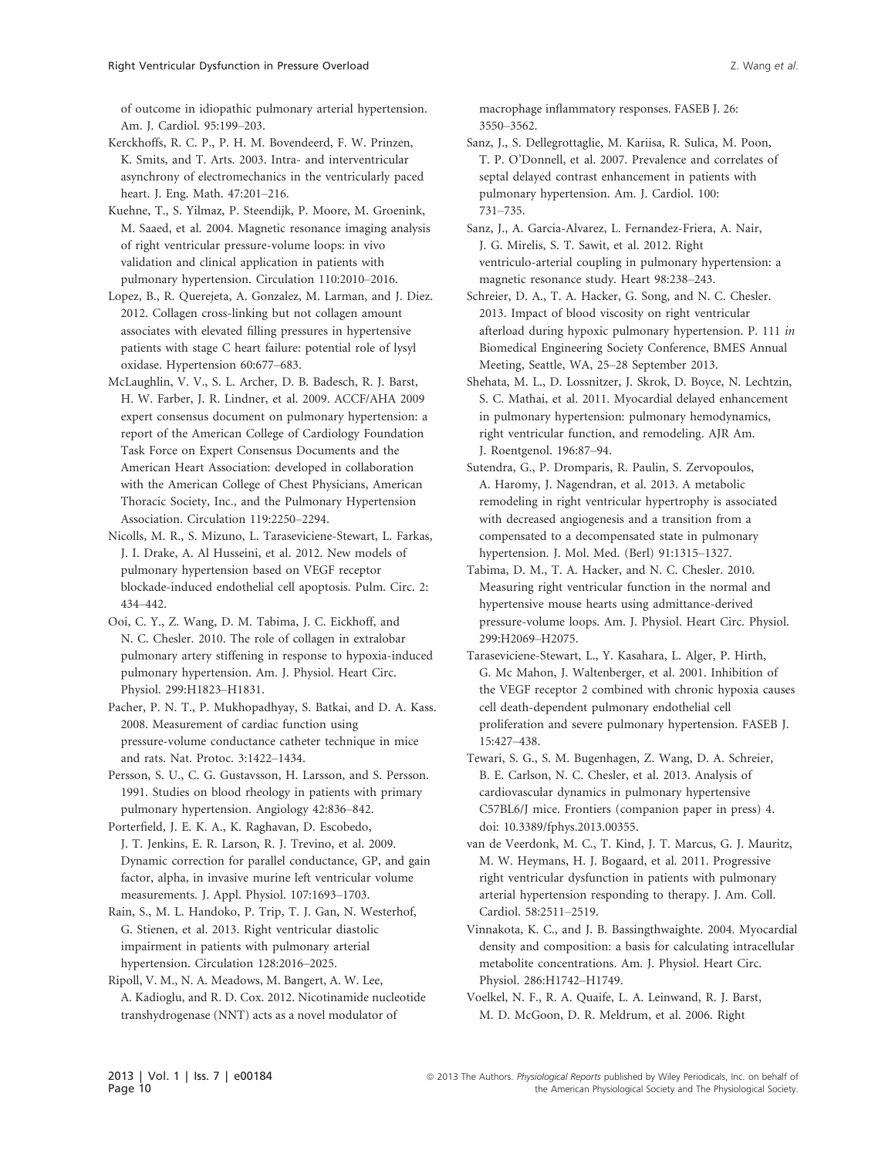of outcome in idiopathic pulmonary arterial hypertension. Am. J. Cardiol. 95:199–203.

Kerckhoffs, R. C. P., P. H. M. Bovendeerd, F. W. Prinzen, K. Smits, and T. Arts. 2003. Intra- and interventricular asynchrony of electromechanics in the ventricularly paced heart. J. Eng. Math. 47:201–216.

Kuehne, T., S. Yilmaz, P. Steendijk, P. Moore, M. Groenink, M. Saaed, et al. 2004. Magnetic resonance imaging analysis of right ventricular pressure-volume loops: in vivo validation and clinical application in patients with pulmonary hypertension. Circulation 110:2010–2016.

Lopez, B., R. Querejeta, A. Gonzalez, M. Larman, and J. Diez. 2012. Collagen cross-linking but not collagen amount associates with elevated filling pressures in hypertensive patients with stage C heart failure: potential role of lysyl oxidase. Hypertension 60:677–683.

McLaughlin, V. V., S. L. Archer, D. B. Badesch, R. J. Barst, H. W. Farber, J. R. Lindner, et al. 2009. ACCF/AHA 2009 expert consensus document on pulmonary hypertension: a report of the American College of Cardiology Foundation Task Force on Expert Consensus Documents and the American Heart Association: developed in collaboration with the American College of Chest Physicians, American Thoracic Society, Inc., and the Pulmonary Hypertension Association. Circulation 119:2250–2294.

Nicolls, M. R., S. Mizuno, L. Taraseviciene-Stewart, L. Farkas, J. I. Drake, A. Al Husseini, et al. 2012. New models of pulmonary hypertension based on VEGF receptor blockade-induced endothelial cell apoptosis. Pulm. Circ. 2: 434–442.

Ooi, C. Y., Z. Wang, D. M. Tabima, J. C. Eickhoff, and N. C. Chesler. 2010. The role of collagen in extralobar pulmonary artery stiffening in response to hypoxia-induced pulmonary hypertension. Am. J. Physiol. Heart Circ. Physiol. 299:H1823–H1831.

Pacher, P. N. T., P. Mukhopadhyay, S. Batkai, and D. A. Kass. 2008. Measurement of cardiac function using pressure-volume conductance catheter technique in mice and rats. Nat. Protoc. 3:1422–1434.

Persson, S. U., C. G. Gustavsson, H. Larsson, and S. Persson. 1991. Studies on blood rheology in patients with primary pulmonary hypertension. Angiology 42:836–842.

Porterfield, J. E. K. A., K. Raghavan, D. Escobedo, J. T. Jenkins, E. R. Larson, R. J. Trevino, et al. 2009. Dynamic correction for parallel conductance, GP, and gain factor, alpha, in invasive murine left ventricular volume measurements. J. Appl. Physiol. 107:1693–1703.

Rain, S., M. L. Handoko, P. Trip, T. J. Gan, N. Westerhof, G. Stienen, et al. 2013. Right ventricular diastolic impairment in patients with pulmonary arterial hypertension. Circulation 128:2016–2025.

Ripoll, V. M., N. A. Meadows, M. Bangert, A. W. Lee, A. Kadioglu, and R. D. Cox. 2012. Nicotinamide nucleotide transhydrogenase (NNT) acts as a novel modulator of

macrophage inflammatory responses. FASEB J. 26: 3550–3562.

Sanz, J., S. Dellegrottaglie, M. Kariisa, R. Sulica, M. Poon, T. P. O'Donnell, et al. 2007. Prevalence and correlates of septal delayed contrast enhancement in patients with pulmonary hypertension. Am. J. Cardiol. 100: 731–735.

Sanz, J., A. Garcia-Alvarez, L. Fernandez-Friera, A. Nair, J. G. Mirelis, S. T. Sawit, et al. 2012. Right ventriculo-arterial coupling in pulmonary hypertension: a magnetic resonance study. Heart 98:238–243.

Schreier, D. A., T. A. Hacker, G. Song, and N. C. Chesler. 2013. Impact of blood viscosity on right ventricular afterload during hypoxic pulmonary hypertension. P. 111 in Biomedical Engineering Society Conference, BMES Annual Meeting, Seattle, WA, 25–28 September 2013.

Shehata, M. L., D. Lossnitzer, J. Skrok, D. Boyce, N. Lechtzin, S. C. Mathai, et al. 2011. Myocardial delayed enhancement in pulmonary hypertension: pulmonary hemodynamics, right ventricular function, and remodeling. AJR Am. J. Roentgenol. 196:87–94.

Sutendra, G., P. Dromparis, R. Paulin, S. Zervopoulos, A. Haromy, J. Nagendran, et al. 2013. A metabolic remodeling in right ventricular hypertrophy is associated with decreased angiogenesis and a transition from a compensated to a decompensated state in pulmonary hypertension. J. Mol. Med. (Berl) 91:1315–1327.

Tabima, D. M., T. A. Hacker, and N. C. Chesler. 2010. Measuring right ventricular function in the normal and hypertensive mouse hearts using admittance-derived pressure-volume loops. Am. J. Physiol. Heart Circ. Physiol. 299:H2069–H2075.

Taraseviciene-Stewart, L., Y. Kasahara, L. Alger, P. Hirth, G. Mc Mahon, J. Waltenberger, et al. 2001. Inhibition of the VEGF receptor 2 combined with chronic hypoxia causes cell death-dependent pulmonary endothelial cell proliferation and severe pulmonary hypertension. FASEB J. 15:427–438.

Tewari, S. G., S. M. Bugenhagen, Z. Wang, D. A. Schreier, B. E. Carlson, N. C. Chesler, et al. 2013. Analysis of cardiovascular dynamics in pulmonary hypertensive C57BL6/J mice. Frontiers (companion paper in press) 4. doi: 10.3389/fphys.2013.00355.

van de Veerdonk, M. C., T. Kind, J. T. Marcus, G. J. Mauritz, M. W. Heymans, H. J. Bogaard, et al. 2011. Progressive right ventricular dysfunction in patients with pulmonary arterial hypertension responding to therapy. J. Am. Coll. Cardiol. 58:2511–2519.

Vinnakota, K. C., and J. B. Bassingthwaighte. 2004. Myocardial density and composition: a basis for calculating intracellular metabolite concentrations. Am. J. Physiol. Heart Circ. Physiol. 286:H1742–H1749.

Voelkel, N. F., R. A. Quaife, L. A. Leinwand, R. J. Barst, M. D. McGoon, D. R. Meldrum, et al. 2006. Right